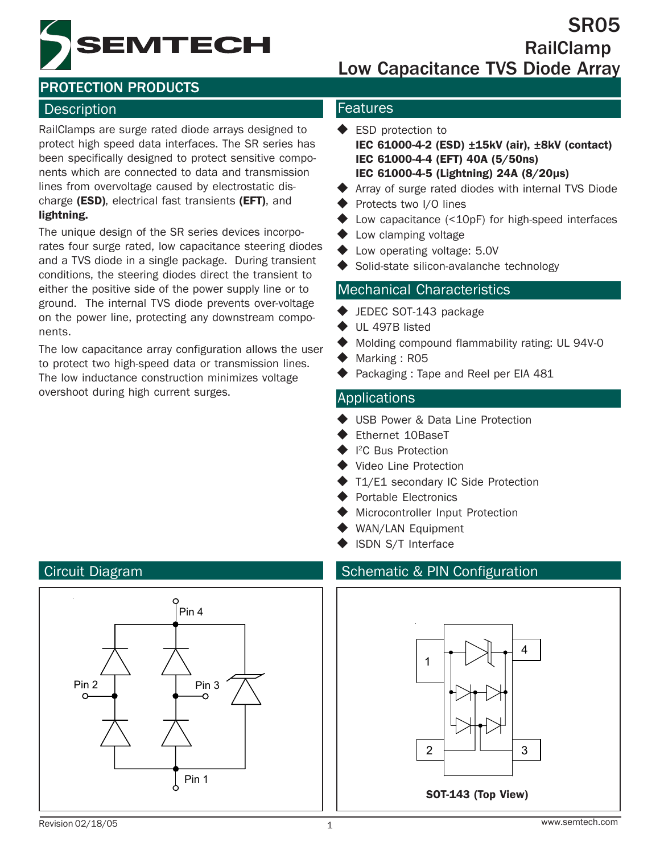**EMTECH** 

SR05 RailClamp Low Capacitance TVS Diode Array

# PROTECTION PRODUCTS

## Description **Features**

RailClamps are surge rated diode arrays designed to protect high speed data interfaces. The SR series has been specifically designed to protect sensitive components which are connected to data and transmission lines from overvoltage caused by electrostatic discharge (ESD), electrical fast transients (EFT), and lightning.

The unique design of the SR series devices incorporates four surge rated, low capacitance steering diodes and a TVS diode in a single package. During transient conditions, the steering diodes direct the transient to either the positive side of the power supply line or to ground. The internal TVS diode prevents over-voltage on the power line, protecting any downstream components.

The low capacitance array configuration allows the user to protect two high-speed data or transmission lines. The low inductance construction minimizes voltage overshoot during high current surges. Applications

- **ESD** protection to IEC 61000-4-2 (ESD) ±15kV (air), ±8kV (contact) IEC 61000-4-4 (EFT) 40A (5/50ns) IEC 61000-4-5 (Lightning) 24A (8/20µs)
- Array of surge rated diodes with internal TVS Diode
- ◆ Protects two I/O lines
- Low capacitance (<10pF) for high-speed interfaces
- ◆ Low clamping voltage
- Low operating voltage: 5.0V
- Solid-state silicon-avalanche technology

### Mechanical Characteristics

- ◆ JEDEC SOT-143 package
- UL 497B listed
- Molding compound flammability rating: UL 94V-0
- Marking : R05
- Packaging : Tape and Reel per EIA 481

- ◆ USB Power & Data Line Protection
- Ethernet 10BaseT
- ◆ I<sup>2</sup>C Bus Protection
- Video Line Protection
- ◆ T1/E1 secondary IC Side Protection
- ◆ Portable Electronics
- **Microcontroller Input Protection**
- ◆ WAN/LAN Equipment
- ISDN S/T Interface

## Circuit Diagram Schematic & PIN Configuration



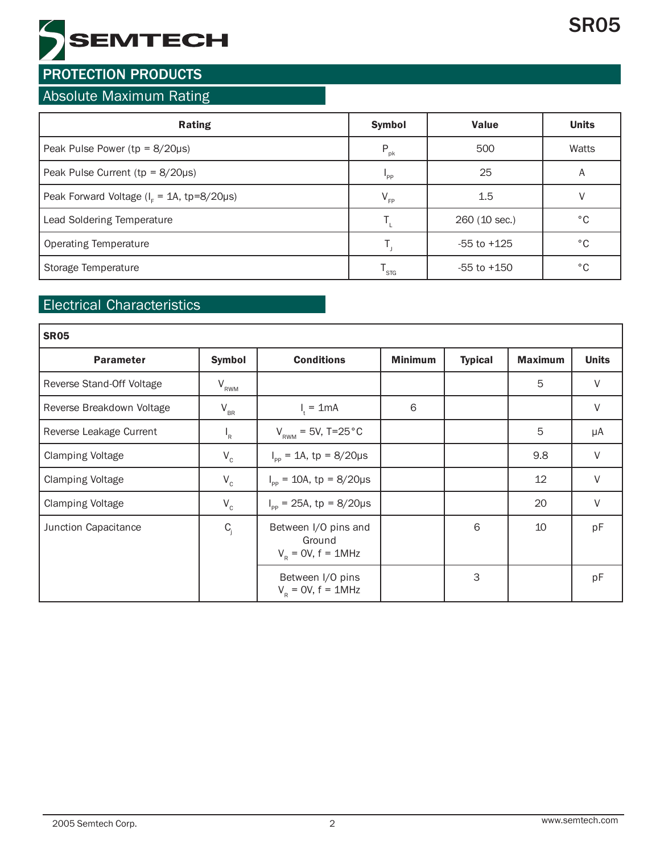

## Absolute Maximum Rating

| <b>Rating</b>                                 | <b>Symbol</b>   | <b>Value</b>    | <b>Units</b> |
|-----------------------------------------------|-----------------|-----------------|--------------|
| Peak Pulse Power ( $tp = 8/20\mu s$ )         | $P_{\rm pk}$    | 500             | Watts        |
| Peak Pulse Current ( $tp = 8/20\mu s$ )       | "PP             | 25              | A            |
| Peak Forward Voltage ( $IF = 1A$ , tp=8/20µs) | $V_{\text{FP}}$ | 1.5             |              |
| Lead Soldering Temperature                    |                 | 260 (10 sec.)   | °C           |
| <b>Operating Temperature</b>                  |                 | $-55$ to $+125$ | $^{\circ}$ C |
| Storage Temperature                           | STG             | $-55$ to $+150$ | °C           |

## Electrical Characteristics

| <b>SR05</b>               |                 |                                                           |                |                |                |              |  |
|---------------------------|-----------------|-----------------------------------------------------------|----------------|----------------|----------------|--------------|--|
| <b>Parameter</b>          | <b>Symbol</b>   | <b>Conditions</b>                                         | <b>Minimum</b> | <b>Typical</b> | <b>Maximum</b> | <b>Units</b> |  |
| Reverse Stand-Off Voltage | $V_{RWM}$       |                                                           |                |                | 5              | $\vee$       |  |
| Reverse Breakdown Voltage | $\rm V_{_{BR}}$ | $I_t = 1mA$                                               | 6              |                |                | $\vee$       |  |
| Reverse Leakage Current   | $I_R$           | $V_{RWM} = 5V, T=25 °C$                                   |                |                | 5              | μA           |  |
| <b>Clamping Voltage</b>   | $V_c$           | $I_{\text{pp}} = 1A$ , tp = 8/20µs                        |                |                | 9.8            | $\vee$       |  |
| <b>Clamping Voltage</b>   | $V_c$           | $I_{\text{pp}} = 10A$ , tp = 8/20µs                       |                |                | 12             | V            |  |
| <b>Clamping Voltage</b>   | $V_c$           | $I_{\text{op}}$ = 25A, tp = 8/20µs                        |                |                | 20             | V            |  |
| Junction Capacitance      | $C_i$           | Between I/O pins and<br>Ground<br>$V_p = 0V$ , $f = 1MHz$ |                | 6              | 10             | pF           |  |
|                           |                 | Between I/O pins<br>$VR = 0V$ , f = 1MHz                  |                | 3              |                | pF           |  |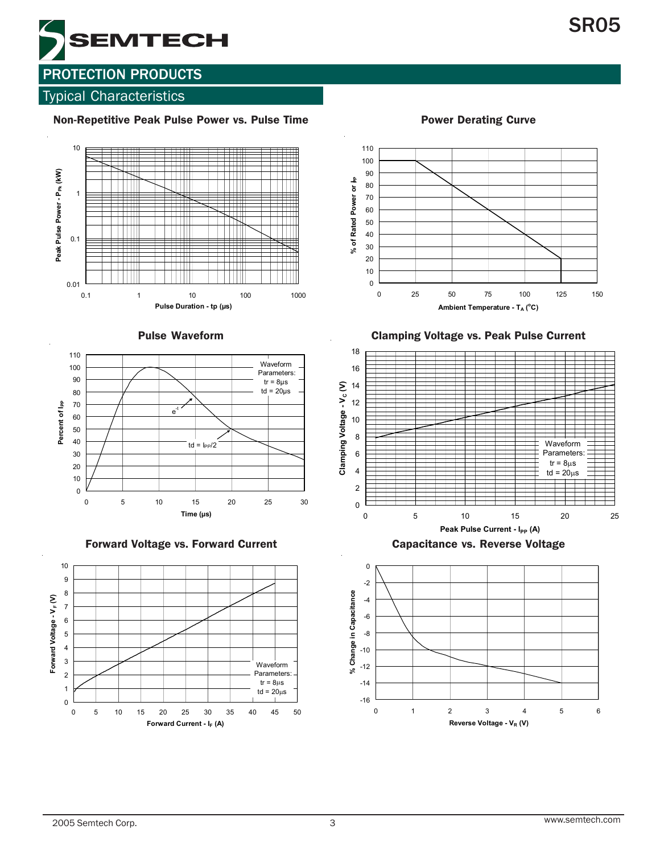

## Typical Characteristics

#### Non-Repetitive Peak Pulse Power vs. Pulse Time **Power Derating Curve**







Forward Voltage vs. Forward Current Capacitance vs. Reverse Voltage



110 100 90 % of Rated Power or  $\nmid_{P}$ % of Rated Power or  $\nu$ 80 70 60 50 40 30 20 10 0 0 25 50 75 100 125 150 Ambient Temperature - T<sub>A</sub> (°C)

Clamping Voltage vs. Peak Pulse Current



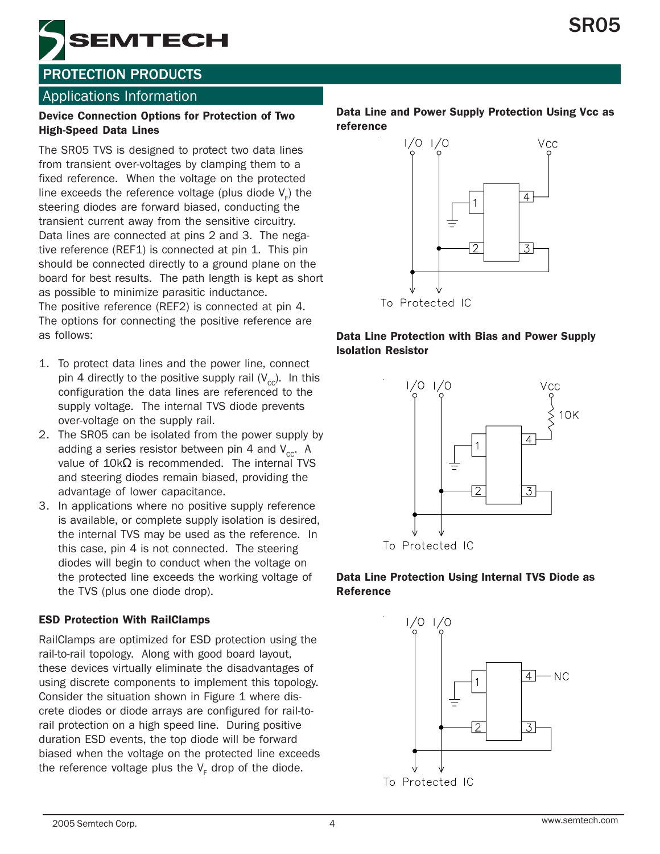

## Applications Information

#### Device Connection Options for Protection of Two High-Speed Data Lines

The SR05 TVS is designed to protect two data lines from transient over-voltages by clamping them to a fixed reference. When the voltage on the protected line exceeds the reference voltage (plus diode  $\mathsf{V}_{_{\mathsf{F}}})$  the steering diodes are forward biased, conducting the transient current away from the sensitive circuitry. Data lines are connected at pins 2 and 3. The negative reference (REF1) is connected at pin 1. This pin should be connected directly to a ground plane on the board for best results. The path length is kept as short as possible to minimize parasitic inductance. The positive reference (REF2) is connected at pin 4. The options for connecting the positive reference are as follows:

- 1. To protect data lines and the power line, connect pin 4 directly to the positive supply rail  $(V_{cc})$ . In this configuration the data lines are referenced to the supply voltage. The internal TVS diode prevents over-voltage on the supply rail.
- 2. The SR05 can be isolated from the power supply by adding a series resistor between pin 4 and  $V_{\text{cc}}$ . A value of 10kΩ is recommended. The internal TVS and steering diodes remain biased, providing the advantage of lower capacitance.
- 3. In applications where no positive supply reference is available, or complete supply isolation is desired, the internal TVS may be used as the reference. In this case, pin 4 is not connected. The steering diodes will begin to conduct when the voltage on the protected line exceeds the working voltage of the TVS (plus one diode drop).

#### ESD Protection With RailClamps

RailClamps are optimized for ESD protection using the rail-to-rail topology. Along with good board layout, these devices virtually eliminate the disadvantages of using discrete components to implement this topology. Consider the situation shown in Figure 1 where discrete diodes or diode arrays are configured for rail-torail protection on a high speed line. During positive duration ESD events, the top diode will be forward biased when the voltage on the protected line exceeds the reference voltage plus the  $\mathsf{V}_{_{\mathsf{F}}}$  drop of the diode.

#### Data Line and Power Supply Protection Using Vcc as reference



#### Data Line Protection with Bias and Power Supply Isolation Resistor



#### Data Line Protection Using Internal TVS Diode as Reference



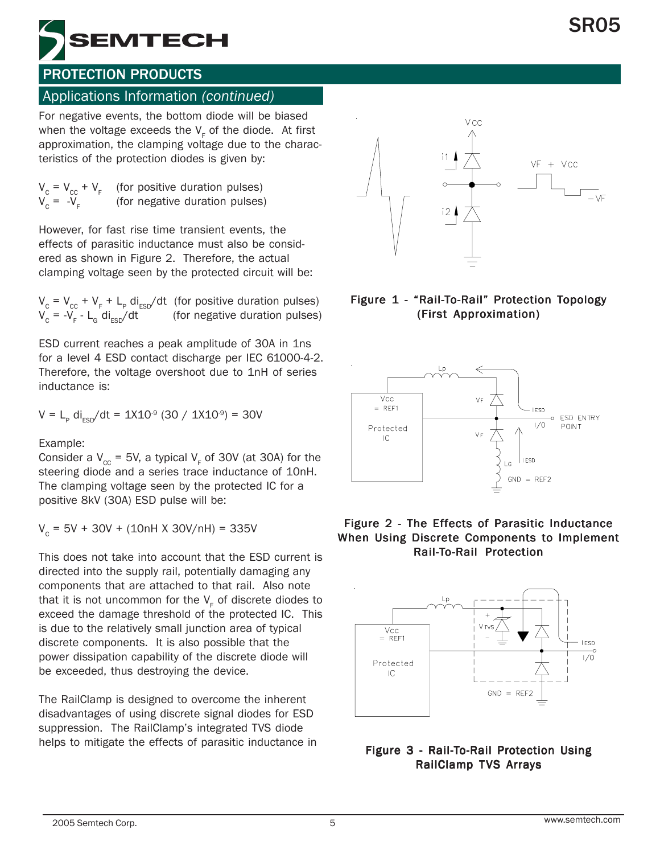

#### Applications Information *(continued)*

For negative events, the bottom diode will be biased when the voltage exceeds the  $\mathsf{V}_{_{\mathsf{F}}}$  of the diode.  $\,$  At first approximation, the clamping voltage due to the characteristics of the protection diodes is given by:

$$
V_c = V_{cc} + V_F
$$
 (for positive duration pulses)  
 
$$
V_c = -V_F
$$
 (for negative duration pulses)

However, for fast rise time transient events, the effects of parasitic inductance must also be considered as shown in Figure 2. Therefore, the actual clamping voltage seen by the protected circuit will be:

 $V_c = V_{cc} + V_F + L_p \text{ di}_{ESD}/\text{dt}$  (for positive duration pulses)  $V_c = -V_F - L_G \, di_{ESD}/dt$  (for negative duration pulses)

ESD current reaches a peak amplitude of 30A in 1ns for a level 4 ESD contact discharge per IEC 61000-4-2. Therefore, the voltage overshoot due to 1nH of series inductance is:

$$
V = L_p \text{ di}_{ESD}/dt = 1X10^9 (30 / 1X10^9) = 30V
$$

Example:

Consider a  $V_{\text{cc}}$  = 5V, a typical V<sub>F</sub> of 30V (at 30A) for the steering diode and a series trace inductance of 10nH. The clamping voltage seen by the protected IC for a positive 8kV (30A) ESD pulse will be:

 $V_c = 5V + 30V + (10nH X 30V/nH) = 335V$ 

This does not take into account that the ESD current is directed into the supply rail, potentially damaging any components that are attached to that rail. Also note that it is not uncommon for the  $\mathsf{V}_\mathsf{F}$  of discrete diodes to exceed the damage threshold of the protected IC. This is due to the relatively small junction area of typical discrete components. It is also possible that the power dissipation capability of the discrete diode will be exceeded, thus destroying the device.

The RailClamp is designed to overcome the inherent disadvantages of using discrete signal diodes for ESD suppression. The RailClamp's integrated TVS diode helps to mitigate the effects of parasitic inductance in



#### Figure 1 - "Rail-To-Rail" Protection Topology (First Approximation) (First Approximation)



#### Figure 2 - The Effects of Parasitic Inductance When Using Discrete Components to Implement Rail-To-Rail Protection



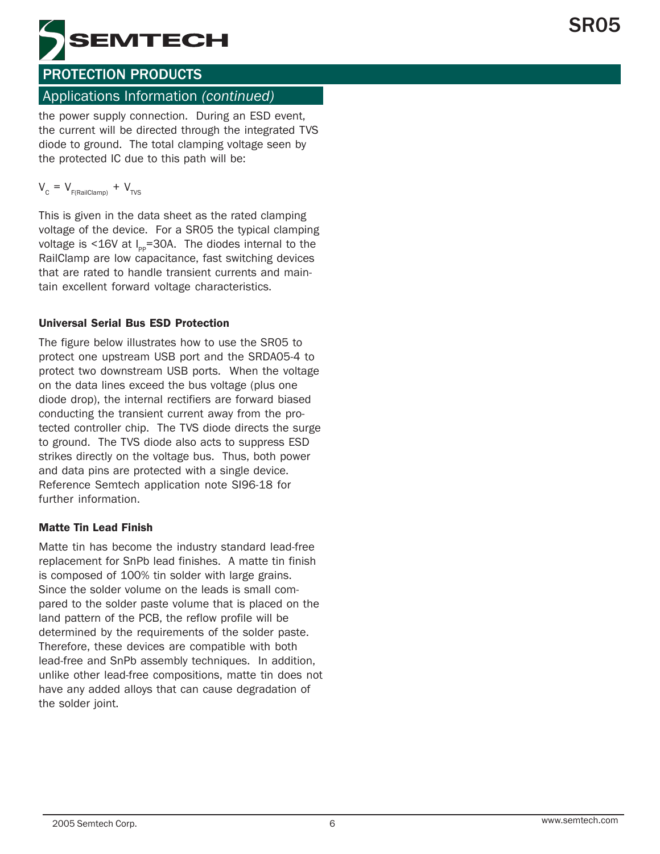

### Applications Information *(continued)*

the power supply connection. During an ESD event, the current will be directed through the integrated TVS diode to ground. The total clamping voltage seen by the protected IC due to this path will be:

$$
V_{\rm c} = V_{\rm F(RailClamp)} + V_{\rm TVS}
$$

This is given in the data sheet as the rated clamping voltage of the device. For a SR05 the typical clamping voltage is  $\leq 16V$  at  $I_{\text{pp}}$ =30A. The diodes internal to the RailClamp are low capacitance, fast switching devices that are rated to handle transient currents and maintain excellent forward voltage characteristics.

#### Universal Serial Bus ESD Protection

The figure below illustrates how to use the SR05 to protect one upstream USB port and the SRDA05-4 to protect two downstream USB ports. When the voltage on the data lines exceed the bus voltage (plus one diode drop), the internal rectifiers are forward biased conducting the transient current away from the protected controller chip. The TVS diode directs the surge to ground. The TVS diode also acts to suppress ESD strikes directly on the voltage bus. Thus, both power and data pins are protected with a single device. Reference Semtech application note SI96-18 for further information.

#### Matte Tin Lead Finish

Matte tin has become the industry standard lead-free replacement for SnPb lead finishes. A matte tin finish is composed of 100% tin solder with large grains. Since the solder volume on the leads is small compared to the solder paste volume that is placed on the land pattern of the PCB, the reflow profile will be determined by the requirements of the solder paste. Therefore, these devices are compatible with both lead-free and SnPb assembly techniques. In addition, unlike other lead-free compositions, matte tin does not have any added alloys that can cause degradation of the solder joint.

SR05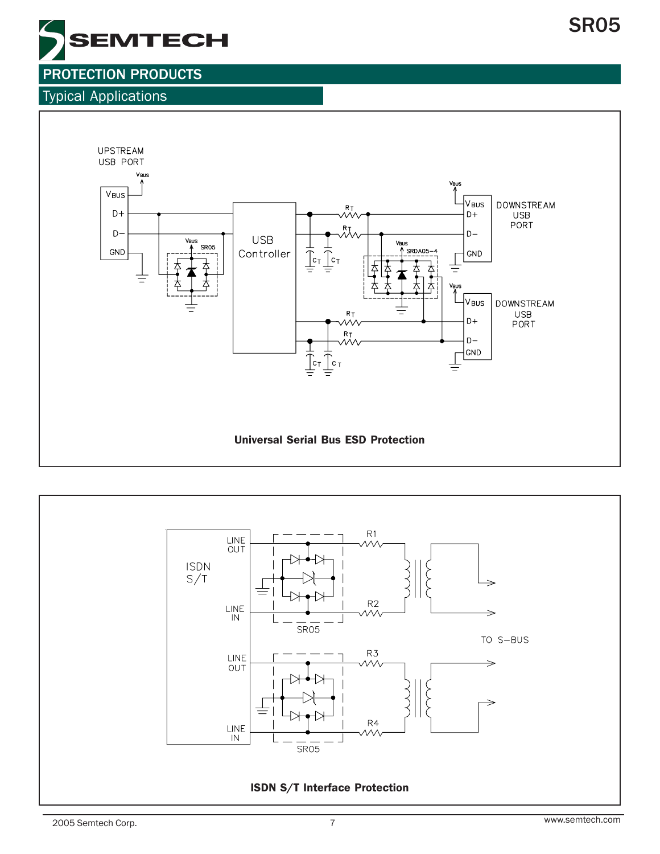

### Typical Applications



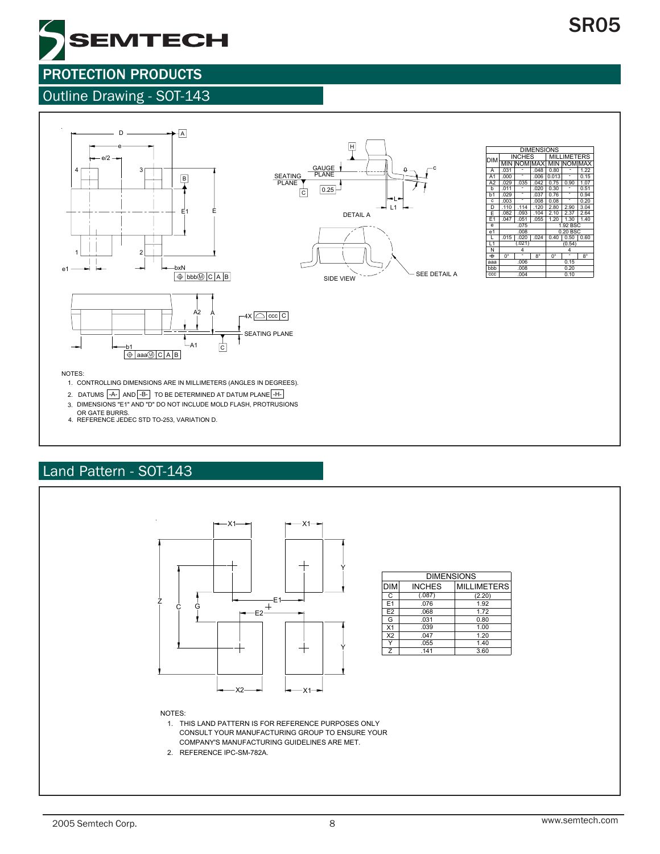0.51 0.20 2.64

1.20 1.40

MAX 0.15 1.22

# PROTECTION PRODUCTS

## Outline Drawing - SOT-143

**EMTECH** 



NOTES:

- 1. CONTROLLING DIMENSIONS ARE IN MILLIMETERS (ANGLES IN DEGREES).
- 2. DATUMS  $\left\vert \text{-A-}\right\vert$  AND $\left\vert \text{-B-}\right\vert$  to be determined at datum plane $\left\vert \text{-H-}\right\vert$
- 3. DIMENSIONS "E1" AND "D" DO NOT INCLUDE MOLD FLASH, PROTRUSIONS
- OR GATE BURRS. 4. REFERENCE JEDEC STD TO-253, VARIATION D.

# Land Pattern - SOT-143